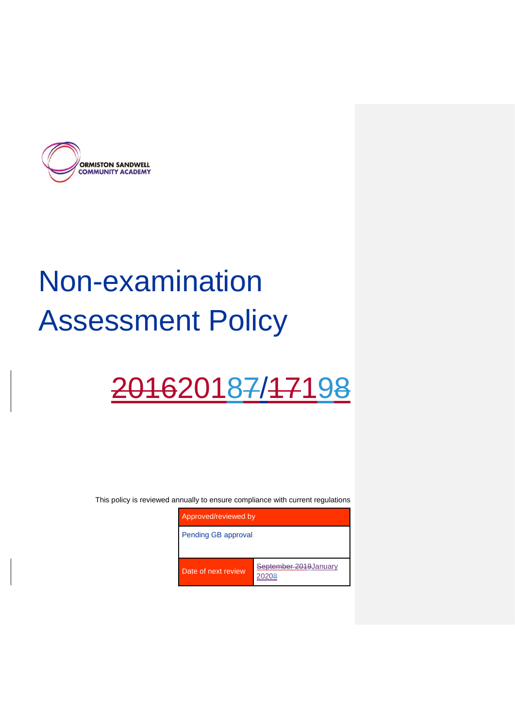

# Non-examination Assessment Policy

## 201620187/17198

This policy is reviewed annually to ensure compliance with current regulations

| Approved/reviewed by |                                 |
|----------------------|---------------------------------|
| Pending GB approval  |                                 |
|                      |                                 |
| Date of next review  | September 2019 January<br>20208 |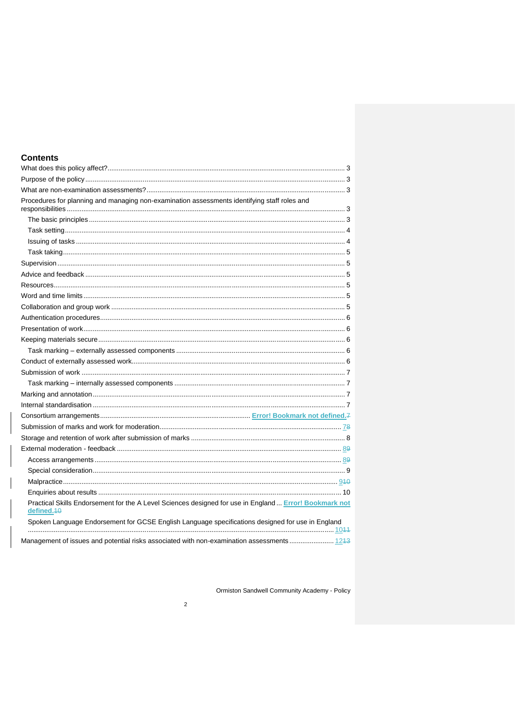| <b>Contents</b>                                                                                                      |  |
|----------------------------------------------------------------------------------------------------------------------|--|
|                                                                                                                      |  |
|                                                                                                                      |  |
|                                                                                                                      |  |
| Procedures for planning and managing non-examination assessments identifying staff roles and                         |  |
|                                                                                                                      |  |
|                                                                                                                      |  |
|                                                                                                                      |  |
|                                                                                                                      |  |
|                                                                                                                      |  |
|                                                                                                                      |  |
|                                                                                                                      |  |
|                                                                                                                      |  |
|                                                                                                                      |  |
|                                                                                                                      |  |
|                                                                                                                      |  |
|                                                                                                                      |  |
|                                                                                                                      |  |
|                                                                                                                      |  |
|                                                                                                                      |  |
|                                                                                                                      |  |
|                                                                                                                      |  |
|                                                                                                                      |  |
|                                                                                                                      |  |
|                                                                                                                      |  |
|                                                                                                                      |  |
|                                                                                                                      |  |
|                                                                                                                      |  |
|                                                                                                                      |  |
|                                                                                                                      |  |
|                                                                                                                      |  |
| Practical Skills Endorsement for the A Level Sciences designed for use in England  Error! Bookmark not<br>defined.40 |  |
| Spoken Language Endorsement for GCSE English Language specifications designed for use in England                     |  |
| Management of issues and potential risks associated with non-examination assessments 1243                            |  |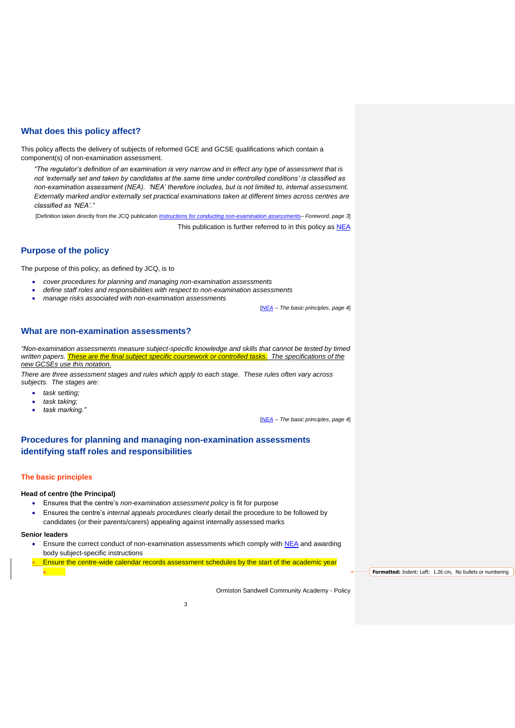## <span id="page-2-0"></span>**What does this policy affect?**

This policy affects the delivery of subjects of reformed GCE and GCSE qualifications which contain a component(s) of non-examination assessment.

*"The regulator's definition of an examination is very narrow and in effect any type of assessment that is not 'externally set and taken by candidates at the same time under controlled conditions' is classified as non-examination assessment (NEA). 'NEA' therefore includes, but is not limited to, internal assessment. Externally marked and/or externally set practical examinations taken at different times across centres are classified as 'NEA'."*

[Definition taken directly from the JCQ publication *[Instructions for conducting non-examination assessments](http://www.jcq.org.uk/exams-office/non-examination-assessments)*– *Foreword*, *page 3*]

This publication is further referred to in this policy as [NEA](http://www.jcq.org.uk/exams-office/non-examination-assessments)

## <span id="page-2-1"></span>**Purpose of the policy**

The purpose of this policy, as defined by JCQ, is to

- *cover procedures for planning and managing non-examination assessments*
- *define staff roles and responsibilities with respect to non-examination assessments*
- *manage risks associated with non-examination assessments*

[*[NEA](http://www.jcq.org.uk/exams-office/non-examination-assessments)* – *The basic principles*, *page 4*]

## <span id="page-2-2"></span>**What are non-examination assessments?**

*"Non-examination assessments measure subject-specific knowledge and skills that cannot be tested by timed*  written papers. **These are the final subject specific coursework or controlled tasks.** The specifications of the *new GCSEs use this notation.*

*There are three assessment stages and rules which apply to each stage. These rules often vary across subjects. The stages are:* 

- *task setting;*
- *task taking;*
- *task marking."*

[*[NEA](http://www.jcq.org.uk/exams-office/non-examination-assessments)* – *The basic principles*, *page 4*]

## <span id="page-2-3"></span>**Procedures for planning and managing non-examination assessments identifying staff roles and responsibilities**

#### <span id="page-2-4"></span>**The basic principles**

#### **Head of centre (the Principal)**

- Ensures that the centre's *non-examination assessment policy* is fit for purpose
- Ensures the centre's *internal appeals procedures* clearly detail the procedure to be followed by candidates (or their parents/carers) appealing against internally assessed marks

#### **Senior leaders**

- Ensure the correct conduct of non-examination assessments which comply with [NEA](http://www.jcq.org.uk/exams-office/non-examination-assessments) and awarding body subject-specific instructions
- Ensure the centre-wide calendar records assessment schedules by the start of the academic year

**Formatted:** Indent: Left: 1.26 cm, No bullets or numbering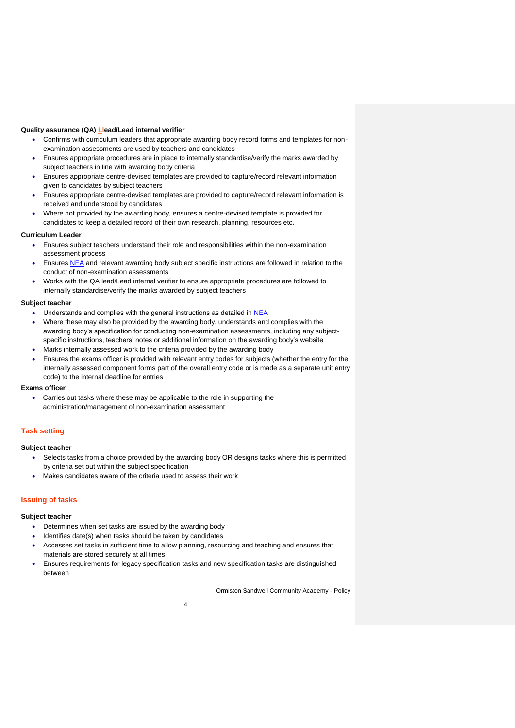#### **Quality assurance (QA) Llead/Lead internal verifier**

- Confirms with curriculum leaders that appropriate awarding body record forms and templates for nonexamination assessments are used by teachers and candidates
- Ensures appropriate procedures are in place to internally standardise/verify the marks awarded by subject teachers in line with awarding body criteria
- Ensures appropriate centre-devised templates are provided to capture/record relevant information given to candidates by subject teachers
- Ensures appropriate centre-devised templates are provided to capture/record relevant information is received and understood by candidates
- Where not provided by the awarding body, ensures a centre-devised template is provided for candidates to keep a detailed record of their own research, planning, resources etc.

#### **Curriculum Leader**

- Ensures subject teachers understand their role and responsibilities within the non-examination assessment process
- Ensures [NEA](http://www.jcq.org.uk/exams-office/non-examination-assessments) and relevant awarding body subject specific instructions are followed in relation to the conduct of non-examination assessments
- Works with the QA lead/Lead internal verifier to ensure appropriate procedures are followed to internally standardise/verify the marks awarded by subject teachers

#### **Subject teacher**

- Understands and complies with the general instructions as detailed in [NEA](http://www.jcq.org.uk/exams-office/non-examination-assessments)
- Where these may also be provided by the awarding body, understands and complies with the awarding body's specification for conducting non-examination assessments, including any subjectspecific instructions, teachers' notes or additional information on the awarding body's website
- Marks internally assessed work to the criteria provided by the awarding body
- Ensures the exams officer is provided with relevant entry codes for subjects (whether the entry for the internally assessed component forms part of the overall entry code or is made as a separate unit entry code) to the internal deadline for entries

#### **Exams officer**

 Carries out tasks where these may be applicable to the role in supporting the administration/management of non-examination assessment

#### <span id="page-3-0"></span>**Task setting**

#### **Subject teacher**

- Selects tasks from a choice provided by the awarding body OR designs tasks where this is permitted by criteria set out within the subject specification
- Makes candidates aware of the criteria used to assess their work

#### <span id="page-3-1"></span>**Issuing of tasks**

#### **Subject teacher**

- Determines when set tasks are issued by the awarding body
- Identifies date(s) when tasks should be taken by candidates
- Accesses set tasks in sufficient time to allow planning, resourcing and teaching and ensures that materials are stored securely at all times
- Ensures requirements for legacy specification tasks and new specification tasks are distinguished between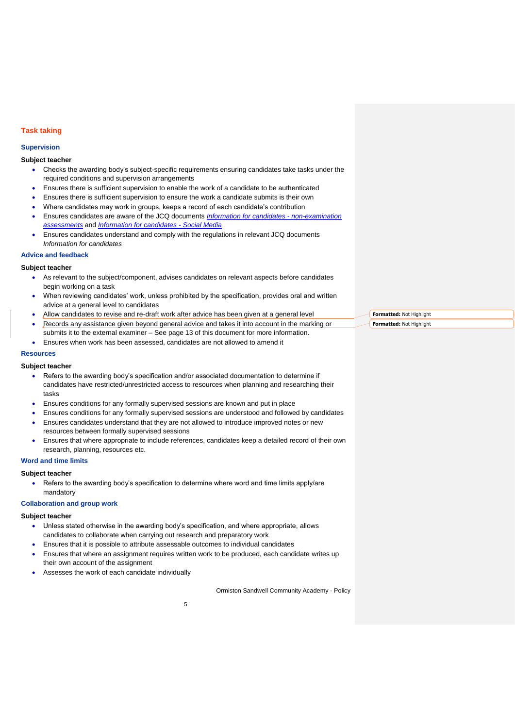## <span id="page-4-0"></span>**Task taking**

#### <span id="page-4-1"></span>**Supervision**

#### **Subject teacher**

- Checks the awarding body's subject-specific requirements ensuring candidates take tasks under the required conditions and supervision arrangements
- Ensures there is sufficient supervision to enable the work of a candidate to be authenticated
- Ensures there is sufficient supervision to ensure the work a candidate submits is their own
- Where candidates may work in groups, keeps a record of each candidate's contribution
- Ensures candidates are aware of the JCQ documents *[Information for candidates -](http://www.jcq.org.uk/exams-office/information-for-candidates-documents) non-examination [assessments](http://www.jcq.org.uk/exams-office/information-for-candidates-documents)* and *[Information for candidates -](http://www.jcq.org.uk/exams-office/information-for-candidates-documents) Social Media*
- Ensures candidates understand and comply with the regulations in relevant JCQ documents *Information for candidates*
- <span id="page-4-2"></span>**Advice and feedback**

#### **Subject teacher**

- As relevant to the subject/component, advises candidates on relevant aspects before candidates begin working on a task
- When reviewing candidates' work, unless prohibited by the specification, provides oral and written advice at a general level to candidates
- Allow candidates to revise and re-draft work after advice has been given at a general level
- Records any assistance given beyond general advice and takes it into account in the marking or submits it to the external examiner – See page 13 of this document for more information.
- Ensures when work has been assessed, candidates are not allowed to amend it

#### <span id="page-4-3"></span>**Resources**

#### **Subject teacher**

- Refers to the awarding body's specification and/or associated documentation to determine if candidates have restricted/unrestricted access to resources when planning and researching their tasks
- Ensures conditions for any formally supervised sessions are known and put in place
- Ensures conditions for any formally supervised sessions are understood and followed by candidates
- Ensures candidates understand that they are not allowed to introduce improved notes or new resources between formally supervised sessions
- Ensures that where appropriate to include references, candidates keep a detailed record of their own research, planning, resources etc.

#### <span id="page-4-4"></span>**Word and time limits**

#### **Subject teacher**

 Refers to the awarding body's specification to determine where word and time limits apply/are mandatory

## <span id="page-4-5"></span>**Collaboration and group work**

#### **Subject teacher**

- Unless stated otherwise in the awarding body's specification, and where appropriate, allows candidates to collaborate when carrying out research and preparatory work
- Ensures that it is possible to attribute assessable outcomes to individual candidates
- Ensures that where an assignment requires written work to be produced, each candidate writes up their own account of the assignment
- Assesses the work of each candidate individually

Ormiston Sandwell Community Academy - Policy

**Formatted:** Not Highlight **Formatted:** Not Highlight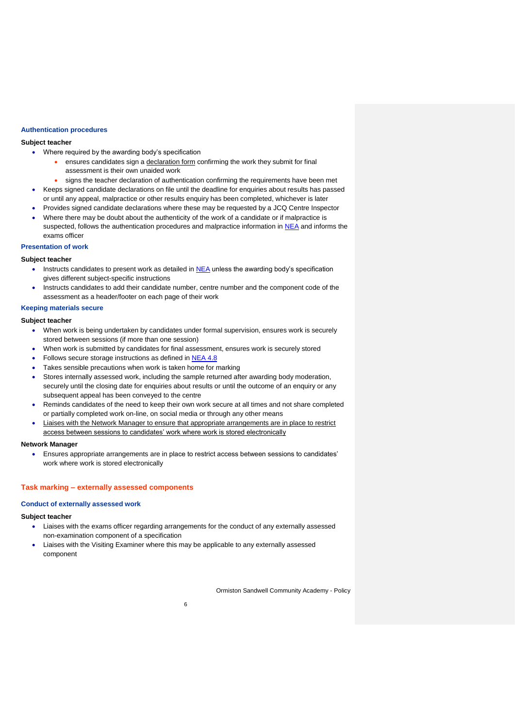#### <span id="page-5-0"></span>**Authentication procedures**

#### **Subject teacher**

- Where required by the awarding body's specification
	- ensures candidates sign a declaration form confirming the work they submit for final assessment is their own unaided work
	- signs the teacher declaration of authentication confirming the requirements have been met
- Keeps signed candidate declarations on file until the deadline for enquiries about results has passed or until any appeal, malpractice or other results enquiry has been completed, whichever is later
- Provides signed candidate declarations where these may be requested by a JCQ Centre Inspector Where there may be doubt about the authenticity of the work of a candidate or if malpractice is suspected, follows the authentication procedures and malpractice information i[n NEA](http://www.jcq.org.uk/exams-office/non-examination-assessments) and informs the exams officer

#### <span id="page-5-1"></span>**Presentation of work**

#### **Subject teacher**

- $\bullet$  Instructs candidates to present work as detailed in [NEA](http://www.jcq.org.uk/exams-office/non-examination-assessments) unless the awarding body's specification gives different subject-specific instructions
- Instructs candidates to add their candidate number, centre number and the component code of the assessment as a header/footer on each page of their work

## <span id="page-5-2"></span>**Keeping materials secure**

#### **Subject teacher**

- When work is being undertaken by candidates under formal supervision, ensures work is securely stored between sessions (if more than one session)
- When work is submitted by candidates for final assessment, ensures work is securely stored
- Follows secure storage instructions as defined in [NEA](http://www.jcq.org.uk/exams-office/non-examination-assessments) 4.8
- Takes sensible precautions when work is taken home for marking
- Stores internally assessed work, including the sample returned after awarding body moderation, securely until the closing date for enquiries about results or until the outcome of an enquiry or any subsequent appeal has been conveyed to the centre
- Reminds candidates of the need to keep their own work secure at all times and not share completed or partially completed work on-line, on social media or through any other means
- Liaises with the Network Manager to ensure that appropriate arrangements are in place to restrict access between sessions to candidates' work where work is stored electronically

#### **Network Manager**

 Ensures appropriate arrangements are in place to restrict access between sessions to candidates' work where work is stored electronically

#### <span id="page-5-3"></span>**Task marking – externally assessed components**

#### <span id="page-5-4"></span>**Conduct of externally assessed work**

#### **Subject teacher**

- Liaises with the exams officer regarding arrangements for the conduct of any externally assessed non-examination component of a specification
- Liaises with the Visiting Examiner where this may be applicable to any externally assessed component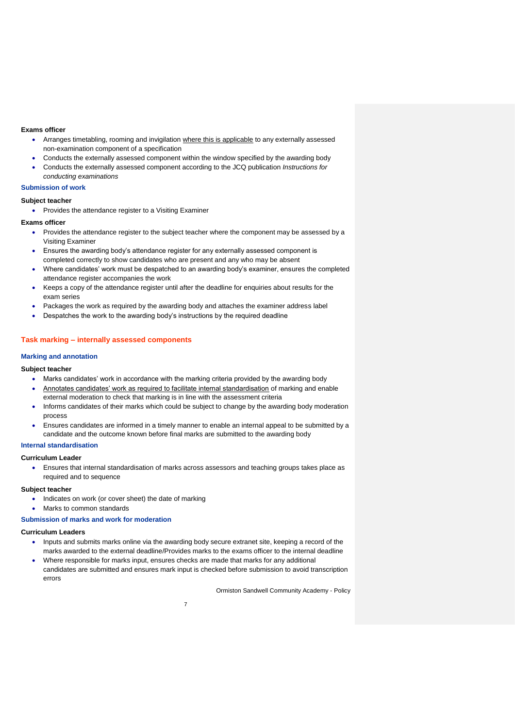#### **Exams officer**

- Arranges timetabling, rooming and invigilation where this is applicable to any externally assessed non-examination component of a specification
- Conducts the externally assessed component within the window specified by the awarding body
- Conducts the externally assessed component according to the JCQ publication *Instructions for conducting examinations*

#### <span id="page-6-0"></span>**Submission of work**

#### **Subject teacher**

• Provides the attendance register to a Visiting Examiner

#### **Exams officer**

- Provides the attendance register to the subject teacher where the component may be assessed by a Visiting Examiner
- Ensures the awarding body's attendance register for any externally assessed component is completed correctly to show candidates who are present and any who may be absent
- Where candidates' work must be despatched to an awarding body's examiner, ensures the completed attendance register accompanies the work
- Keeps a copy of the attendance register until after the deadline for enquiries about results for the exam series
- Packages the work as required by the awarding body and attaches the examiner address label
- Despatches the work to the awarding body's instructions by the required deadline

#### <span id="page-6-1"></span>**Task marking – internally assessed components**

#### <span id="page-6-2"></span>**Marking and annotation**

#### **Subject teacher**

- Marks candidates' work in accordance with the marking criteria provided by the awarding body
- Annotates candidates' work as required to facilitate internal standardisation of marking and enable external moderation to check that marking is in line with the assessment criteria
- Informs candidates of their marks which could be subject to change by the awarding body moderation process
- Ensures candidates are informed in a timely manner to enable an internal appeal to be submitted by a candidate and the outcome known before final marks are submitted to the awarding body

#### <span id="page-6-3"></span>**Internal standardisation**

#### **Curriculum Leader**

 Ensures that internal standardisation of marks across assessors and teaching groups takes place as required and to sequence

#### **Subject teacher**

- Indicates on work (or cover sheet) the date of marking
- Marks to common standards

#### <span id="page-6-4"></span>**Submission of marks and work for moderation**

#### **Curriculum Leaders**

- Inputs and submits marks online via the awarding body secure extranet site, keeping a record of the marks awarded to the external deadline/Provides marks to the exams officer to the internal deadline
- Where responsible for marks input, ensures checks are made that marks for any additional candidates are submitted and ensures mark input is checked before submission to avoid transcription errors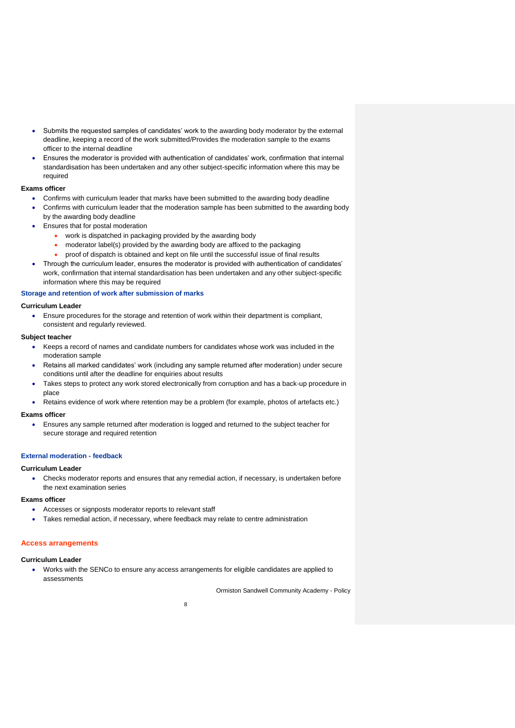- Submits the requested samples of candidates' work to the awarding body moderator by the external deadline, keeping a record of the work submitted/Provides the moderation sample to the exams officer to the internal deadline
- Ensures the moderator is provided with authentication of candidates' work, confirmation that internal standardisation has been undertaken and any other subject-specific information where this may be required

#### **Exams officer**

- Confirms with curriculum leader that marks have been submitted to the awarding body deadline
- Confirms with curriculum leader that the moderation sample has been submitted to the awarding body by the awarding body deadline
- Ensures that for postal moderation
	- work is dispatched in packaging provided by the awarding body
	- moderator label(s) provided by the awarding body are affixed to the packaging
	- proof of dispatch is obtained and kept on file until the successful issue of final results
- Through the curriculum leader, ensures the moderator is provided with authentication of candidates' work, confirmation that internal standardisation has been undertaken and any other subject-specific information where this may be required

#### <span id="page-7-0"></span>**Storage and retention of work after submission of marks**

#### **Curriculum Leader**

 Ensure procedures for the storage and retention of work within their department is compliant, consistent and regularly reviewed.

#### **Subject teacher**

- Keeps a record of names and candidate numbers for candidates whose work was included in the moderation sample
- Retains all marked candidates' work (including any sample returned after moderation) under secure conditions until after the deadline for enquiries about results
- Takes steps to protect any work stored electronically from corruption and has a back-up procedure in place
- Retains evidence of work where retention may be a problem (for example, photos of artefacts etc.)

#### **Exams officer**

 Ensures any sample returned after moderation is logged and returned to the subject teacher for secure storage and required retention

#### <span id="page-7-1"></span>**External moderation - feedback**

#### **Curriculum Leader**

 Checks moderator reports and ensures that any remedial action, if necessary, is undertaken before the next examination series

#### **Exams officer**

- Accesses or signposts moderator reports to relevant staff
- Takes remedial action, if necessary, where feedback may relate to centre administration

#### <span id="page-7-2"></span>**Access arrangements**

#### **Curriculum Leader**

 Works with the SENCo to ensure any access arrangements for eligible candidates are applied to assessments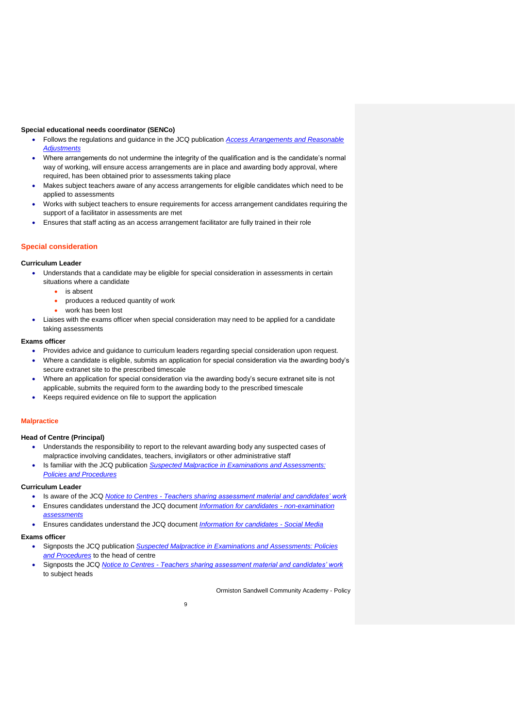#### **Special educational needs coordinator (SENCo)**

- Follows the regulations and guidance in the JCQ publication *[Access Arrangements and Reasonable](http://www.jcq.org.uk/exams-office/access-arrangements-and-special-consideration)  [Adjustments](http://www.jcq.org.uk/exams-office/access-arrangements-and-special-consideration)*
- Where arrangements do not undermine the integrity of the qualification and is the candidate's normal way of working, will ensure access arrangements are in place and awarding body approval, where required, has been obtained prior to assessments taking place
- Makes subject teachers aware of any access arrangements for eligible candidates which need to be applied to assessments
- Works with subject teachers to ensure requirements for access arrangement candidates requiring the support of a facilitator in assessments are met
- Ensures that staff acting as an access arrangement facilitator are fully trained in their role

#### <span id="page-8-0"></span>**Special consideration**

#### **Curriculum Leader**

- Understands that a candidate may be eligible for special consideration in assessments in certain situations where a candidate
	- is absent
	- produces a reduced quantity of work
	- work has been lost
	- Liaises with the exams officer when special consideration may need to be applied for a candidate taking assessments

### **Exams officer**

- Provides advice and guidance to curriculum leaders regarding special consideration upon request.
- Where a candidate is eligible, submits an application for special consideration via the awarding body's secure extranet site to the prescribed timescale
- Where an application for special consideration via the awarding body's secure extranet site is not applicable, submits the required form to the awarding body to the prescribed timescale
- Keeps required evidence on file to support the application

#### <span id="page-8-1"></span>**Malpractice**

#### **Head of Centre (Principal)**

- Understands the responsibility to report to the relevant awarding body any suspected cases of malpractice involving candidates, teachers, invigilators or other administrative staff
- Is familiar with the JCQ publication *[Suspected Malpractice in Examinations and Assessments:](http://www.jcq.org.uk/exams-office/malpractice)  [Policies and Procedures](http://www.jcq.org.uk/exams-office/malpractice)*

#### **Curriculum Leader**

- Is aware of the JCQ *Notice to Centres - [Teachers sharing assessment material and candidates' work](http://www.jcq.org.uk/exams-office/non-examination-assessments)*
- Ensures candidates understand the JCQ document *[Information for candidates -](http://www.jcq.org.uk/exams-office/information-for-candidates-documents) non-examination [assessments](http://www.jcq.org.uk/exams-office/information-for-candidates-documents)*
- Ensures candidates understand the JCQ document *[Information for candidates -](http://www.jcq.org.uk/exams-office/information-for-candidates-documents) Social Media*

#### **Exams officer**

- Signposts the JCQ publication *[Suspected Malpractice in Examinations and Assessments: Policies](http://www.jcq.org.uk/exams-office/malpractice)  [and Procedures](http://www.jcq.org.uk/exams-office/malpractice)* to the head of centre
- Signposts the JCQ *Notice to Centres - [Teachers sharing assessment material and candidates' work](http://www.jcq.org.uk/exams-office/non-examination-assessments)*  to subject heads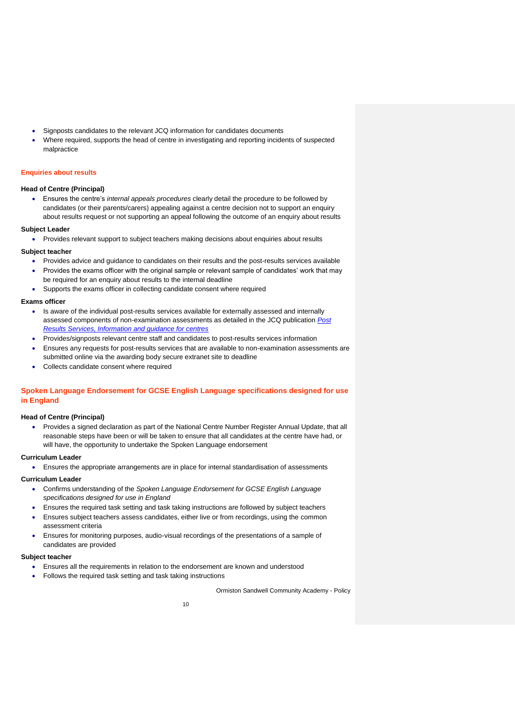- Signposts candidates to the relevant JCQ information for candidates documents
- Where required, supports the head of centre in investigating and reporting incidents of suspected malpractice

#### <span id="page-9-0"></span>**Enquiries about results**

#### **Head of Centre (Principal)**

 Ensures the centre's *internal appeals procedures* clearly detail the procedure to be followed by candidates (or their parents/carers) appealing against a centre decision not to support an enquiry about results request or not supporting an appeal following the outcome of an enquiry about results

#### **Subject Leader**

• Provides relevant support to subject teachers making decisions about enquiries about results

#### **Subject teacher**

- Provides advice and guidance to candidates on their results and the post-results services available
- Provides the exams officer with the original sample or relevant sample of candidates' work that may be required for an enquiry about results to the internal deadline
	- Supports the exams officer in collecting candidate consent where required

#### **Exams officer**

- Is aware of the individual post-results services available for externally assessed and internally assessed components of non-examination assessments as detailed in the JCQ publication *[Post](http://www.jcq.org.uk/exams-office/post-results-services)  [Results Services, Information and guidance for centres](http://www.jcq.org.uk/exams-office/post-results-services)*
- Provides/signposts relevant centre staff and candidates to post-results services information
- Ensures any requests for post-results services that are available to non-examination assessments are submitted online via the awarding body secure extranet site to deadline
- Collects candidate consent where required

## <span id="page-9-1"></span>**Spoken Language Endorsement for GCSE English Language specifications designed for use in England**

#### **Head of Centre (Principal)**

 Provides a signed declaration as part of the National Centre Number Register Annual Update, that all reasonable steps have been or will be taken to ensure that all candidates at the centre have had, or will have, the opportunity to undertake the Spoken Language endorsement

#### **Curriculum Leader**

Ensures the appropriate arrangements are in place for internal standardisation of assessments

#### **Curriculum Leader**

- Confirms understanding of the *Spoken Language Endorsement for GCSE English Language specifications designed for use in England*
- Ensures the required task setting and task taking instructions are followed by subject teachers
- Ensures subject teachers assess candidates, either live or from recordings, using the common assessment criteria
- Ensures for monitoring purposes, audio-visual recordings of the presentations of a sample of candidates are provided

#### **Subject teacher**

- Ensures all the requirements in relation to the endorsement are known and understood
- Follows the required task setting and task taking instructions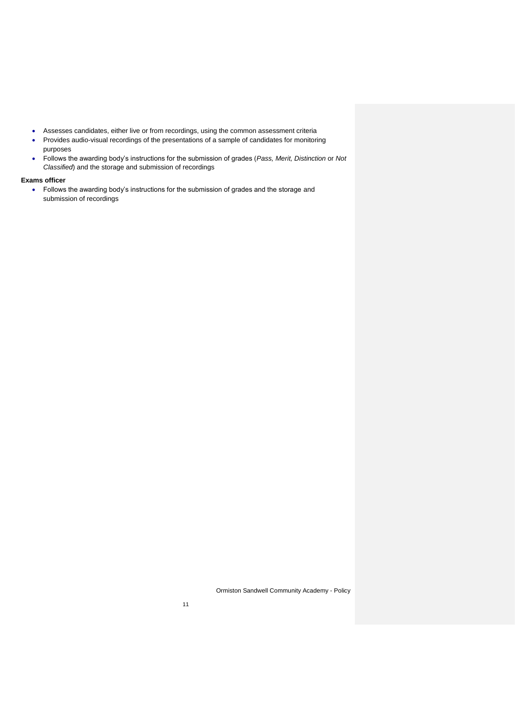- Assesses candidates, either live or from recordings, using the common assessment criteria
- Provides audio-visual recordings of the presentations of a sample of candidates for monitoring purposes
- Follows the awarding body's instructions for the submission of grades (*Pass, Merit, Distinction* or *Not Classified*) and the storage and submission of recordings

#### **Exams officer**

• Follows the awarding body's instructions for the submission of grades and the storage and submission of recordings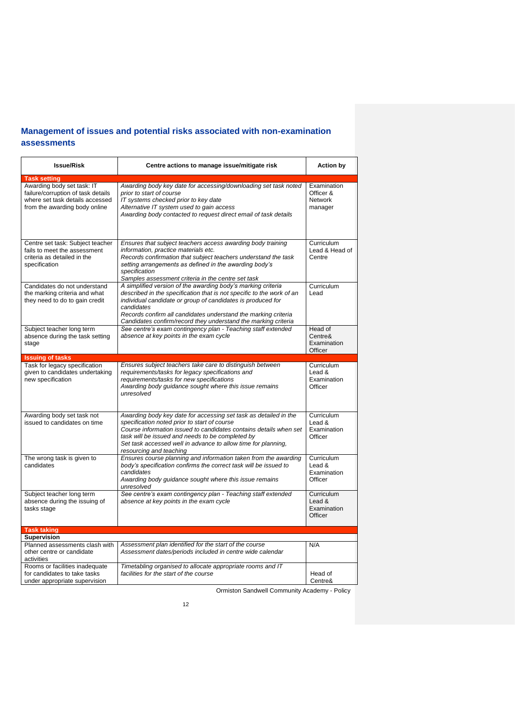## <span id="page-11-0"></span>**Management of issues and potential risks associated with non-examination assessments**

| <b>Issue/Risk</b>                                                                                                                    | Centre actions to manage issue/mitigate risk                                                                                                                                                                                                                                                                                                           | <b>Action by</b>                                         |
|--------------------------------------------------------------------------------------------------------------------------------------|--------------------------------------------------------------------------------------------------------------------------------------------------------------------------------------------------------------------------------------------------------------------------------------------------------------------------------------------------------|----------------------------------------------------------|
| <b>Task setting</b>                                                                                                                  |                                                                                                                                                                                                                                                                                                                                                        |                                                          |
| Awarding body set task: IT<br>failure/corruption of task details<br>where set task details accessed<br>from the awarding body online | Awarding body key date for accessing/downloading set task noted<br>prior to start of course<br>IT systems checked prior to key date<br>Alternative IT system used to gain access<br>Awarding body contacted to request direct email of task details                                                                                                    | Examination<br>Officer &<br><b>Network</b><br>manager    |
| Centre set task: Subject teacher<br>fails to meet the assessment<br>criteria as detailed in the<br>specification                     | Ensures that subject teachers access awarding body training<br>information, practice materials etc.<br>Records confirmation that subject teachers understand the task<br>setting arrangements as defined in the awarding body's<br>specification<br>Samples assessment criteria in the centre set task                                                 | Curriculum<br>Lead & Head of<br>Centre                   |
| Candidates do not understand<br>the marking criteria and what<br>they need to do to gain credit                                      | A simplified version of the awarding body's marking criteria<br>described in the specification that is not specific to the work of an<br>individual candidate or group of candidates is produced for<br>candidates<br>Records confirm all candidates understand the marking criteria<br>Candidates confirm/record they understand the marking criteria | <b>Curriculum</b><br>Lead                                |
| Subject teacher long term<br>absence during the task setting<br>stage                                                                | See centre's exam contingency plan - Teaching staff extended<br>absence at key points in the exam cycle                                                                                                                                                                                                                                                | Head of<br>Centre&<br>Examination<br>Officer             |
| <b>Issuing of tasks</b>                                                                                                              |                                                                                                                                                                                                                                                                                                                                                        |                                                          |
| Task for legacy specification<br>given to candidates undertaking<br>new specification                                                | Ensures subject teachers take care to distinguish between<br>requirements/tasks for legacy specifications and<br>requirements/tasks for new specifications<br>Awarding body guidance sought where this issue remains<br>unresolved                                                                                                                     | Curriculum<br>Lead &<br>Examination<br>Officer           |
| Awarding body set task not<br>issued to candidates on time                                                                           | Awarding body key date for accessing set task as detailed in the<br>specification noted prior to start of course<br>Course information issued to candidates contains details when set<br>task will be issued and needs to be completed by<br>Set task accessed well in advance to allow time for planning,<br>resourcing and teaching                  | Curriculum<br>A heal<br>Examination<br>Officer           |
| The wrong task is given to<br>candidates                                                                                             | Ensures course planning and information taken from the awarding<br>body's specification confirms the correct task will be issued to<br>candidates<br>Awarding body guidance sought where this issue remains<br>unresolved                                                                                                                              | Curriculum<br>Lead &<br>Examination<br>Officer           |
| Subject teacher long term<br>absence during the issuing of<br>tasks stage                                                            | See centre's exam contingency plan - Teaching staff extended<br>absence at key points in the exam cycle                                                                                                                                                                                                                                                | <b>Curriculum</b><br>Lead $\&$<br>Examination<br>Officer |
| <b>Task taking</b>                                                                                                                   |                                                                                                                                                                                                                                                                                                                                                        |                                                          |
| <b>Supervision</b>                                                                                                                   |                                                                                                                                                                                                                                                                                                                                                        |                                                          |
| Planned assessments clash with<br>other centre or candidate<br>activities                                                            | Assessment plan identified for the start of the course<br>Assessment dates/periods included in centre wide calendar                                                                                                                                                                                                                                    | N/A                                                      |
| Rooms or facilities inadequate<br>for candidates to take tasks<br>under appropriate supervision                                      | Timetabling organised to allocate appropriate rooms and IT<br>facilities for the start of the course                                                                                                                                                                                                                                                   | Head of<br>Centre&                                       |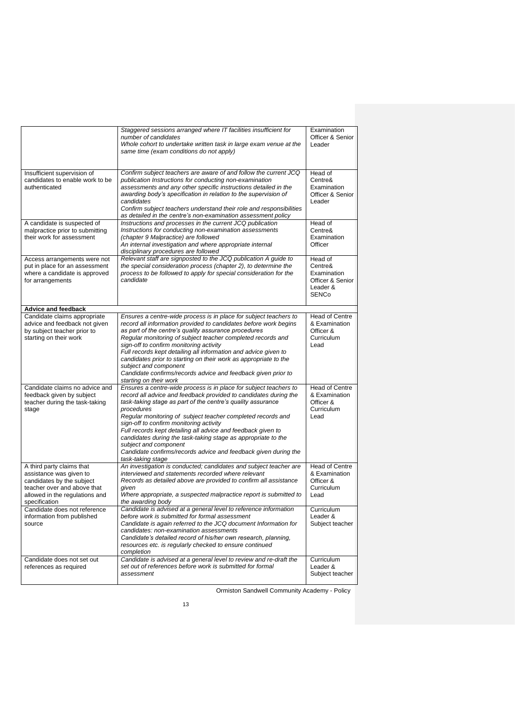|                                                                                                                                                                     | Staggered sessions arranged where IT facilities insufficient for<br>number of candidates<br>Whole cohort to undertake written task in large exam venue at the<br>same time (exam conditions do not apply)                                                                                                                                                                                                                                                                                                                                                                      | Examination<br>Officer & Senior<br>Leader                                         |
|---------------------------------------------------------------------------------------------------------------------------------------------------------------------|--------------------------------------------------------------------------------------------------------------------------------------------------------------------------------------------------------------------------------------------------------------------------------------------------------------------------------------------------------------------------------------------------------------------------------------------------------------------------------------------------------------------------------------------------------------------------------|-----------------------------------------------------------------------------------|
| Insufficient supervision of<br>candidates to enable work to be<br>authenticated                                                                                     | Confirm subject teachers are aware of and follow the current JCQ<br>publication Instructions for conducting non-examination<br>assessments and any other specific instructions detailed in the<br>awarding body's specification in relation to the supervision of<br>candidates<br>Confirm subject teachers understand their role and responsibilities<br>as detailed in the centre's non-examination assessment policy                                                                                                                                                        | Head of<br>Centre&<br>Examination<br>Officer & Senior<br>Leader                   |
| A candidate is suspected of<br>malpractice prior to submitting<br>their work for assessment                                                                         | Instructions and processes in the current JCQ publication<br>Instructions for conducting non-examination assessments<br>(chapter 9 Malpractice) are followed<br>An internal investigation and where appropriate internal<br>disciplinary procedures are followed                                                                                                                                                                                                                                                                                                               | Head of<br>Centre&<br>Examination<br>Officer                                      |
| Access arrangements were not<br>put in place for an assessment<br>where a candidate is approved<br>for arrangements                                                 | Relevant staff are signposted to the JCQ publication A guide to<br>the special consideration process (chapter 2), to determine the<br>process to be followed to apply for special consideration for the<br>candidate                                                                                                                                                                                                                                                                                                                                                           | Head of<br>Centre&<br>Examination<br>Officer & Senior<br>Leader &<br><b>SENCo</b> |
| <b>Advice and feedback</b>                                                                                                                                          |                                                                                                                                                                                                                                                                                                                                                                                                                                                                                                                                                                                |                                                                                   |
| Candidate claims appropriate<br>advice and feedback not given<br>by subject teacher prior to<br>starting on their work                                              | Ensures a centre-wide process is in place for subject teachers to<br>record all information provided to candidates before work begins<br>as part of the centre's quality assurance procedures<br>Reqular monitoring of subject teacher completed records and<br>sign-off to confirm monitoring activity<br>Full records kept detailing all information and advice given to<br>candidates prior to starting on their work as appropriate to the<br>subject and component<br>Candidate confirms/records advice and feedback given prior to<br>starting on their work             | Head of Centre<br>& Examination<br>Officer &<br>Curriculum<br>Lead                |
| Candidate claims no advice and<br>feedback given by subject<br>teacher during the task-taking<br>stage                                                              | Ensures a centre-wide process is in place for subject teachers to<br>record all advice and feedback provided to candidates during the<br>task-taking stage as part of the centre's quality assurance<br>procedures<br>Regular monitoring of subject teacher completed records and<br>sign-off to confirm monitoring activity<br>Full records kept detailing all advice and feedback given to<br>candidates during the task-taking stage as appropriate to the<br>subject and component<br>Candidate confirms/records advice and feedback given during the<br>task-taking stage | <b>Head of Centre</b><br>& Examination<br>Officer &<br>Curriculum<br>Lead         |
| A third party claims that<br>assistance was given to<br>candidates by the subject<br>teacher over and above that<br>allowed in the regulations and<br>specification | An investigation is conducted; candidates and subject teacher are<br>interviewed and statements recorded where relevant<br>Records as detailed above are provided to confirm all assistance<br>given<br>Where appropriate, a suspected malpractice report is submitted to<br>the awarding body                                                                                                                                                                                                                                                                                 | <b>Head of Centre</b><br>& Examination<br>Officer &<br>Curriculum<br>Lead         |
| Candidate does not reference<br>information from published<br>source                                                                                                | Candidate is advised at a general level to reference information<br>before work is submitted for formal assessment<br>Candidate is again referred to the JCQ document Information for<br>candidates: non-examination assessments<br>Candidate's detailed record of his/her own research, planning,<br>resources etc. is regularly checked to ensure continued<br>completion                                                                                                                                                                                                    | Curriculum<br>Leader &<br>Subject teacher                                         |
| Candidate does not set out<br>references as required                                                                                                                | Candidate is advised at a general level to review and re-draft the<br>set out of references before work is submitted for formal<br>assessment                                                                                                                                                                                                                                                                                                                                                                                                                                  | Curriculum<br>Leader &<br>Subject teacher                                         |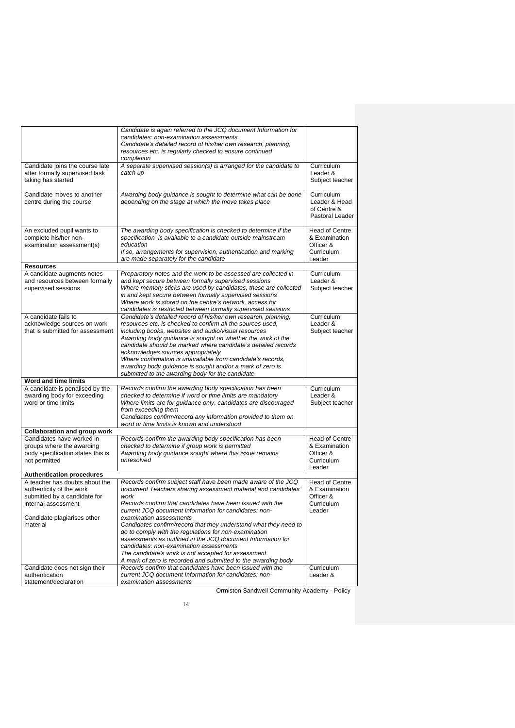|                                                                 | Candidate is again referred to the JCQ document Information for                                                            |                              |
|-----------------------------------------------------------------|----------------------------------------------------------------------------------------------------------------------------|------------------------------|
|                                                                 | candidates: non-examination assessments                                                                                    |                              |
|                                                                 | Candidate's detailed record of his/her own research, planning,                                                             |                              |
|                                                                 | resources etc. is regularly checked to ensure continued                                                                    |                              |
|                                                                 | completion                                                                                                                 |                              |
| Candidate joins the course late                                 | A separate supervised session( $s$ ) is arranged for the candidate to                                                      | Curriculum                   |
| after formally supervised task                                  | catch up                                                                                                                   | Leader &                     |
| taking has started                                              |                                                                                                                            | Subject teacher              |
|                                                                 |                                                                                                                            |                              |
| Candidate moves to another                                      | Awarding body guidance is sought to determine what can be done                                                             | Curriculum                   |
| centre during the course                                        | depending on the stage at which the move takes place                                                                       | Leader & Head<br>of Centre & |
|                                                                 |                                                                                                                            | Pastoral Leader              |
|                                                                 |                                                                                                                            |                              |
| An excluded pupil wants to                                      | The awarding body specification is checked to determine if the                                                             | <b>Head of Centre</b>        |
| complete his/her non-                                           | specification is available to a candidate outside mainstream                                                               | & Examination                |
| examination assessment(s)                                       | education                                                                                                                  | Officer &                    |
|                                                                 | If so, arrangements for supervision, authentication and marking                                                            | Curriculum                   |
|                                                                 | are made separately for the candidate                                                                                      | Leader                       |
| <b>Resources</b><br>A candidate augments notes                  | Preparatory notes and the work to be assessed are collected in                                                             | Curriculum                   |
| and resources between formally                                  | and kept secure between formally supervised sessions                                                                       | Leader &                     |
| supervised sessions                                             | Where memory sticks are used by candidates, these are collected                                                            | Subject teacher              |
|                                                                 | in and kept secure between formally supervised sessions                                                                    |                              |
|                                                                 | Where work is stored on the centre's network, access for                                                                   |                              |
|                                                                 | candidates is restricted between formally supervised sessions                                                              |                              |
| A candidate fails to                                            | Candidate's detailed record of his/her own research, planning,                                                             | Curriculum<br>Leader &       |
| acknowledge sources on work<br>that is submitted for assessment | resources etc. is checked to confirm all the sources used,<br>including books, websites and audio/visual resources         | Subject teacher              |
|                                                                 | Awarding body guidance is sought on whether the work of the                                                                |                              |
|                                                                 | candidate should be marked where candidate's detailed records                                                              |                              |
|                                                                 | acknowledges sources appropriately                                                                                         |                              |
|                                                                 | Where confirmation is unavailable from candidate's records,                                                                |                              |
|                                                                 | awarding body guidance is sought and/or a mark of zero is                                                                  |                              |
|                                                                 | submitted to the awarding body for the candidate                                                                           |                              |
| Word and time limits                                            |                                                                                                                            |                              |
| A candidate is penalised by the<br>awarding body for exceeding  | Records confirm the awarding body specification has been<br>checked to determine if word or time limits are mandatory      | Curriculum<br>Leader &       |
| word or time limits                                             | Where limits are for guidance only, candidates are discouraged                                                             | Subject teacher              |
|                                                                 | from exceeding them                                                                                                        |                              |
|                                                                 | Candidates confirm/record any information provided to them on                                                              |                              |
|                                                                 | word or time limits is known and understood                                                                                |                              |
| <b>Collaboration and group work</b>                             |                                                                                                                            |                              |
| Candidates have worked in                                       | Records confirm the awarding body specification has been                                                                   | <b>Head of Centre</b>        |
| groups where the awarding<br>body specification states this is  | checked to determine if group work is permitted<br>Awarding body guidance sought where this issue remains                  | & Examination<br>Officer &   |
| not permitted                                                   | unresolved                                                                                                                 | Curriculum                   |
|                                                                 |                                                                                                                            | Leader                       |
| <b>Authentication procedures</b>                                |                                                                                                                            |                              |
| A teacher has doubts about the                                  | Records confirm subject staff have been made aware of the JCQ                                                              | Head of Centre               |
| authenticity of the work                                        | document Teachers sharing assessment material and candidates'                                                              | & Examination                |
| submitted by a candidate for                                    | work                                                                                                                       | Officer &                    |
| internal assessment                                             | Records confirm that candidates have been issued with the<br>current JCQ document Information for candidates: non-         | Curriculum<br>Leader         |
| Candidate plagiarises other                                     | examination assessments                                                                                                    |                              |
| material                                                        | Candidates confirm/record that they understand what they need to                                                           |                              |
|                                                                 | do to comply with the regulations for non-examination                                                                      |                              |
|                                                                 | assessments as outlined in the JCQ document Information for                                                                |                              |
|                                                                 | candidates: non-examination assessments                                                                                    |                              |
|                                                                 | The candidate's work is not accepted for assessment                                                                        |                              |
|                                                                 | A mark of zero is recorded and submitted to the awarding body<br>Records confirm that candidates have been issued with the |                              |
| Candidate does not sign their<br>authentication                 | current JCQ document Information for candidates: non-                                                                      | Curriculum<br>Leader &       |
|                                                                 | examination assessments                                                                                                    |                              |
| statement/declaration                                           |                                                                                                                            |                              |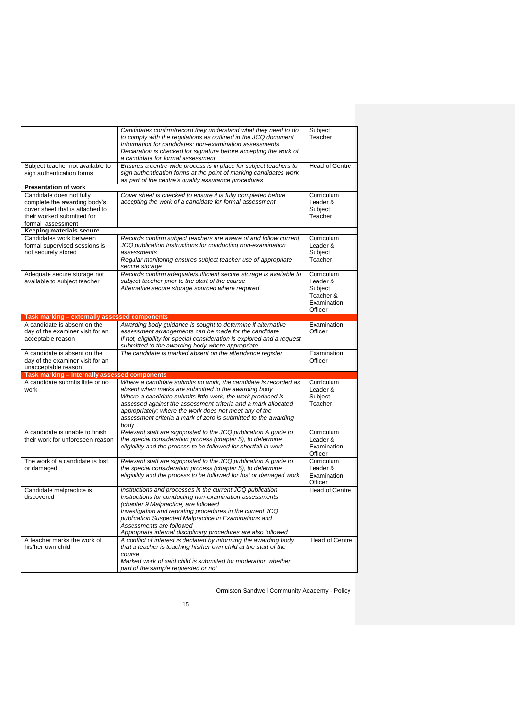|                                                                                                                                                | Candidates confirm/record they understand what they need to do<br>to comply with the regulations as outlined in the JCQ document<br>Information for candidates: non-examination assessments<br>Declaration is checked for signature before accepting the work of<br>a candidate for formal assessment                                                                                        | Subject<br>Teacher                                                       |
|------------------------------------------------------------------------------------------------------------------------------------------------|----------------------------------------------------------------------------------------------------------------------------------------------------------------------------------------------------------------------------------------------------------------------------------------------------------------------------------------------------------------------------------------------|--------------------------------------------------------------------------|
| Subject teacher not available to<br>sign authentication forms                                                                                  | Ensures a centre-wide process is in place for subject teachers to<br>sign authentication forms at the point of marking candidates work<br>as part of the centre's quality assurance procedures                                                                                                                                                                                               | <b>Head of Centre</b>                                                    |
| <b>Presentation of work</b>                                                                                                                    |                                                                                                                                                                                                                                                                                                                                                                                              |                                                                          |
| Candidate does not fully<br>complete the awarding body's<br>cover sheet that is attached to<br>their worked submitted for<br>formal assessment | Cover sheet is checked to ensure it is fully completed before<br>accepting the work of a candidate for formal assessment                                                                                                                                                                                                                                                                     | Curriculum<br>Leader &<br>Subject<br>Teacher                             |
| Keeping materials secure                                                                                                                       |                                                                                                                                                                                                                                                                                                                                                                                              |                                                                          |
| Candidates work between<br>formal supervised sessions is<br>not securely stored                                                                | Records confirm subject teachers are aware of and follow current<br>JCQ publication Instructions for conducting non-examination<br>assessments<br>Regular monitoring ensures subject teacher use of appropriate<br>secure storage                                                                                                                                                            | Curriculum<br>Leader &<br>Subject<br>Teacher                             |
| Adequate secure storage not<br>available to subject teacher                                                                                    | Records confirm adequate/sufficient secure storage is available to<br>subject teacher prior to the start of the course<br>Alternative secure storage sourced where required                                                                                                                                                                                                                  | Curriculum<br>Leader &<br>Subiect<br>Teacher &<br>Examination<br>Officer |
| Task marking - externally assessed components                                                                                                  |                                                                                                                                                                                                                                                                                                                                                                                              |                                                                          |
| A candidate is absent on the<br>day of the examiner visit for an<br>acceptable reason                                                          | Awarding body guidance is sought to determine if alternative<br>assessment arrangements can be made for the candidate<br>If not, eligibility for special consideration is explored and a request<br>submitted to the awarding body where appropriate                                                                                                                                         | Examination<br>Officer                                                   |
| A candidate is absent on the<br>day of the examiner visit for an<br>unacceptable reason                                                        | The candidate is marked absent on the attendance register                                                                                                                                                                                                                                                                                                                                    | Examination<br>Officer                                                   |
| Task marking - internally assessed components                                                                                                  |                                                                                                                                                                                                                                                                                                                                                                                              |                                                                          |
| A candidate submits little or no<br>work                                                                                                       | Where a candidate submits no work, the candidate is recorded as<br>absent when marks are submitted to the awarding body<br>Where a candidate submits little work, the work produced is<br>assessed against the assessment criteria and a mark allocated<br>appropriately; where the work does not meet any of the<br>assessment criteria a mark of zero is submitted to the awarding<br>bodv | Curriculum<br>Leader &<br>Subject<br>Teacher                             |
| A candidate is unable to finish<br>their work for unforeseen reason                                                                            | Relevant staff are signposted to the JCQ publication A quide to<br>the special consideration process (chapter 5), to determine<br>eligibility and the process to be followed for shortfall in work                                                                                                                                                                                           | Curriculum<br>Leader &<br>Examination<br>Officer                         |
| The work of a candidate is lost<br>or damaged                                                                                                  | Relevant staff are signposted to the JCQ publication A guide to<br>the special consideration process (chapter 5), to determine<br>eligibility and the process to be followed for lost or damaged work                                                                                                                                                                                        | Curriculum<br>Leader &<br>Examination<br>Officer                         |
| Candidate malpractice is<br>discovered                                                                                                         | Instructions and processes in the current JCQ publication<br>Instructions for conducting non-examination assessments<br>(chapter 9 Malpractice) are followed<br>Investigation and reporting procedures in the current JCQ<br>publication Suspected Malpractice in Examinations and<br>Assessments are followed<br>Appropriate internal disciplinary procedures are also followed             | <b>Head of Centre</b>                                                    |
| A teacher marks the work of<br>his/her own child                                                                                               | A conflict of interest is declared by informing the awarding body<br>that a teacher is teaching his/her own child at the start of the<br>course<br>Marked work of said child is submitted for moderation whether<br>part of the sample requested or not                                                                                                                                      | Head of Centre                                                           |